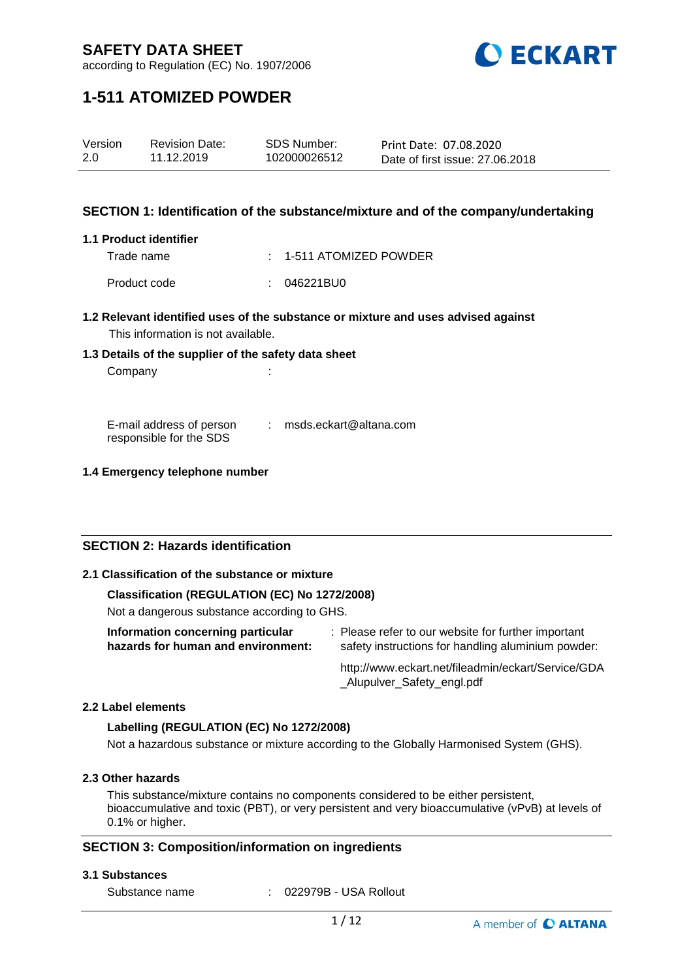

according to Regulation (EC) No. 1907/2006

# **1-511 ATOMIZED POWDER**

| Version | <b>Revision Date:</b> | SDS Number:  | Print Date: 07.08.2020          |
|---------|-----------------------|--------------|---------------------------------|
| 2.0     | 11.12.2019            | 102000026512 | Date of first issue: 27,06,2018 |

## **SECTION 1: Identification of the substance/mixture and of the company/undertaking**

### **1.1 Product identifier**

Trade name : 1-511 ATOMIZED POWDER

Product code : 046221BU0

- **1.2 Relevant identified uses of the substance or mixture and uses advised against** This information is not available.
- **1.3 Details of the supplier of the safety data sheet**

Company the company of the company of the company  $\mathcal{L}$ :

E-mail address of person responsible for the SDS : msds.eckart@altana.com

## **1.4 Emergency telephone number**

## **SECTION 2: Hazards identification**

## **2.1 Classification of the substance or mixture**

## **Classification (REGULATION (EC) No 1272/2008)**

Not a dangerous substance according to GHS.

| Information concerning particular  | : Please refer to our website for further important |
|------------------------------------|-----------------------------------------------------|
| hazards for human and environment: | safety instructions for handling aluminium powder:  |
|                                    | http://www.eckart.net/fileadmin/eckart/Service/GDA  |

## \_Alupulver\_Safety\_engl.pdf

### **2.2 Label elements**

## **Labelling (REGULATION (EC) No 1272/2008)**

Not a hazardous substance or mixture according to the Globally Harmonised System (GHS).

## **2.3 Other hazards**

This substance/mixture contains no components considered to be either persistent, bioaccumulative and toxic (PBT), or very persistent and very bioaccumulative (vPvB) at levels of 0.1% or higher.

## **SECTION 3: Composition/information on ingredients**

#### **3.1 Substances**

Substance name : 022979B - USA Rollout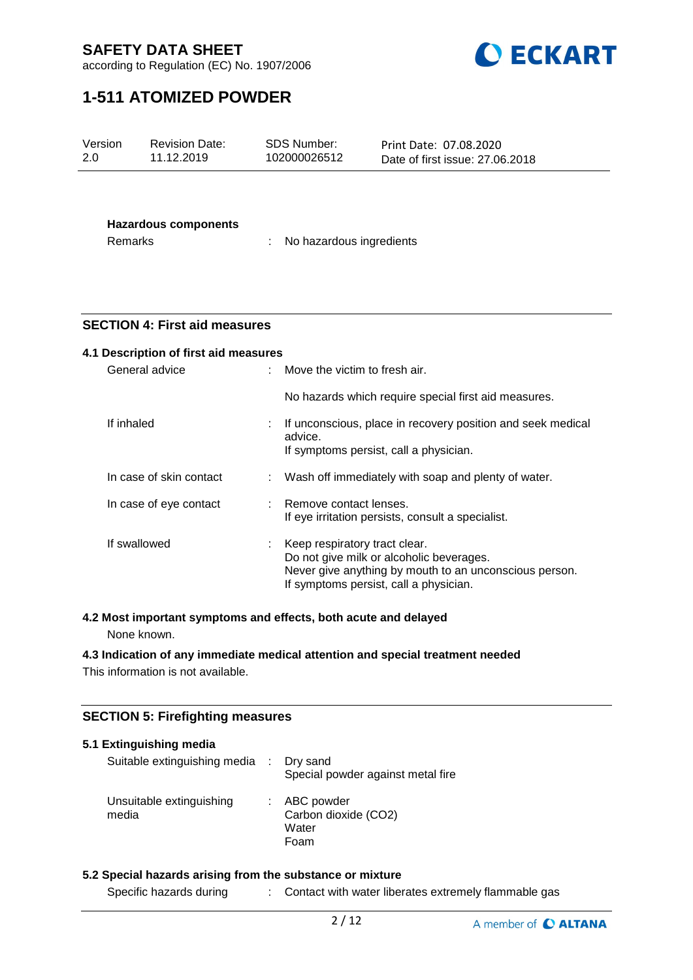

according to Regulation (EC) No. 1907/2006

# **1-511 ATOMIZED POWDER**

| Version<br>2.0                         | <b>Revision Date:</b><br>11.12.2019   | <b>SDS Number:</b><br>102000026512 | Print Date: 07.08.2020<br>Date of first issue: 27.06.2018                                                                                    |
|----------------------------------------|---------------------------------------|------------------------------------|----------------------------------------------------------------------------------------------------------------------------------------------|
| <b>Hazardous components</b><br>Remarks |                                       | No hazardous ingredients           |                                                                                                                                              |
|                                        | <b>SECTION 4: First aid measures</b>  |                                    |                                                                                                                                              |
|                                        | 4.1 Description of first aid measures |                                    |                                                                                                                                              |
|                                        | General advice                        | Move the victim to fresh air.      |                                                                                                                                              |
|                                        |                                       |                                    | No hazards which require special first aid measures.                                                                                         |
|                                        | If inhaled                            | advice.                            | If unconscious, place in recovery position and seek medical<br>If symptoms persist, call a physician.                                        |
|                                        | In case of skin contact               |                                    | Wash off immediately with soap and plenty of water.                                                                                          |
|                                        | In case of eye contact                | Remove contact lenses.             | If eye irritation persists, consult a specialist.                                                                                            |
|                                        | If swallowed                          | Keep respiratory tract clear.      | Do not give milk or alcoholic beverages.<br>Never give anything by mouth to an unconscious person.<br>If symptoms persist, call a physician. |

## **4.2 Most important symptoms and effects, both acute and delayed**

None known.

## **4.3 Indication of any immediate medical attention and special treatment needed**

This information is not available.

## **SECTION 5: Firefighting measures**

| 5.1 Extinguishing media<br>Suitable extinguishing media : Dry sand | Special powder against metal fire                     |
|--------------------------------------------------------------------|-------------------------------------------------------|
| Unsuitable extinguishing<br>media                                  | : ABC powder<br>Carbon dioxide (CO2)<br>Water<br>Foam |

## **5.2 Special hazards arising from the substance or mixture**

Specific hazards during : Contact with water liberates extremely flammable gas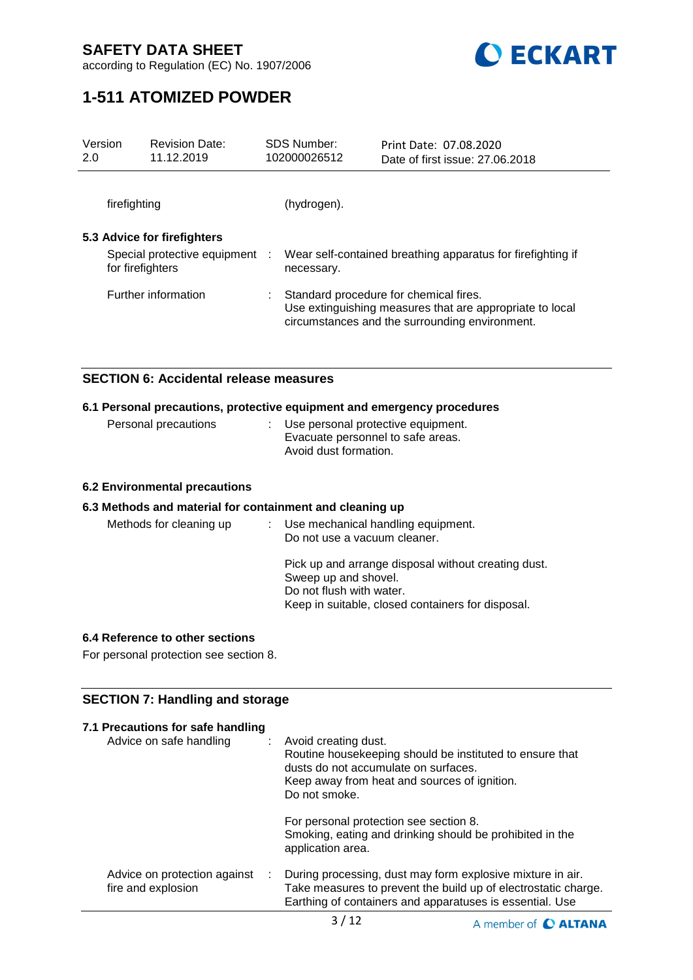

according to Regulation (EC) No. 1907/2006

# **1-511 ATOMIZED POWDER**

| Version<br>2.0                                     | <b>Revision Date:</b><br>11.12.2019 |    | SDS Number:<br>102000026512                                                                                                                          | Print Date: 07.08.2020<br>Date of first issue: 27.06.2018   |
|----------------------------------------------------|-------------------------------------|----|------------------------------------------------------------------------------------------------------------------------------------------------------|-------------------------------------------------------------|
| firefighting                                       |                                     |    | (hydrogen).                                                                                                                                          |                                                             |
| 5.3 Advice for firefighters                        |                                     |    |                                                                                                                                                      |                                                             |
| Special protective equipment :<br>for firefighters |                                     |    | necessary.                                                                                                                                           | Wear self-contained breathing apparatus for firefighting if |
| <b>Further information</b>                         |                                     | ÷. | Standard procedure for chemical fires.<br>Use extinguishing measures that are appropriate to local<br>circumstances and the surrounding environment. |                                                             |

## **SECTION 6: Accidental release measures**

## **6.1 Personal precautions, protective equipment and emergency procedures**

| Personal precautions | : Use personal protective equipment. |
|----------------------|--------------------------------------|
|                      | Evacuate personnel to safe areas.    |
|                      | Avoid dust formation.                |

## **6.2 Environmental precautions**

### **6.3 Methods and material for containment and cleaning up**

| Methods for cleaning up | Use mechanical handling equipment.<br>Do not use a vacuum cleaner.                                                                                           |  |
|-------------------------|--------------------------------------------------------------------------------------------------------------------------------------------------------------|--|
|                         | Pick up and arrange disposal without creating dust.<br>Sweep up and shovel.<br>Do not flush with water.<br>Keep in suitable, closed containers for disposal. |  |

### **6.4 Reference to other sections**

For personal protection see section 8.

## **SECTION 7: Handling and storage**

| 7.1 Precautions for safe handling<br>Advice on safe handling | Avoid creating dust.<br>Routine housekeeping should be instituted to ensure that<br>dusts do not accumulate on surfaces.<br>Keep away from heat and sources of ignition.<br>Do not smoke. |  |  |
|--------------------------------------------------------------|-------------------------------------------------------------------------------------------------------------------------------------------------------------------------------------------|--|--|
|                                                              | For personal protection see section 8.<br>Smoking, eating and drinking should be prohibited in the<br>application area.                                                                   |  |  |
| Advice on protection against<br>÷.<br>fire and explosion     | During processing, dust may form explosive mixture in air.<br>Take measures to prevent the build up of electrostatic charge.<br>Earthing of containers and apparatuses is essential. Use  |  |  |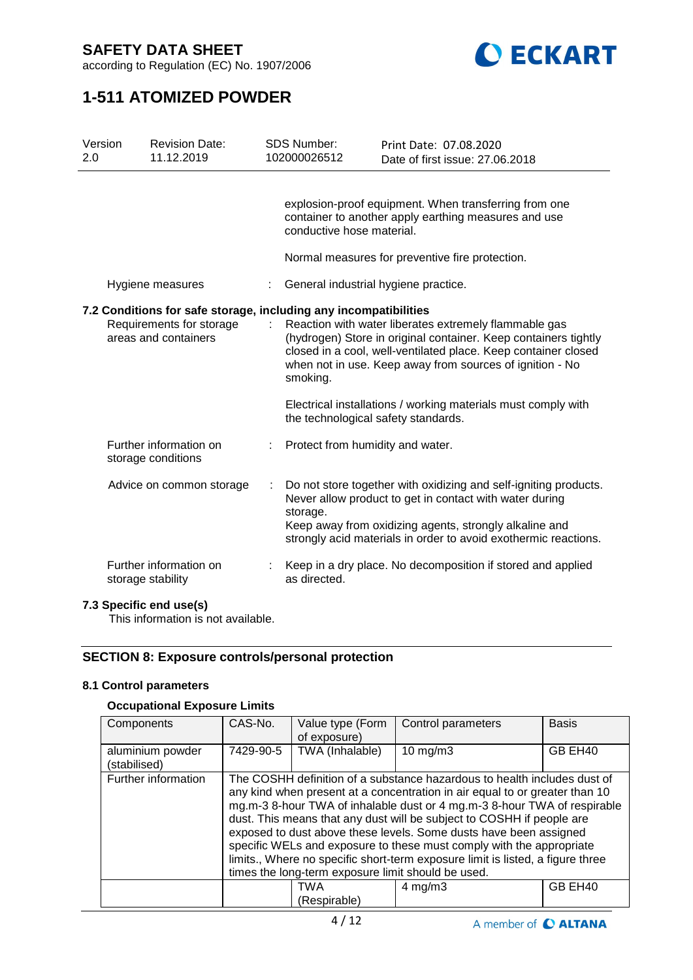

according to Regulation (EC) No. 1907/2006

# **1-511 ATOMIZED POWDER**

| Version<br>2.0                                                                                                       | <b>Revision Date:</b><br>11.12.2019          |   | <b>SDS Number:</b><br>102000026512                                | Print Date: 07.08.2020<br>Date of first issue: 27,06,2018                                                                                                                                                                                                |
|----------------------------------------------------------------------------------------------------------------------|----------------------------------------------|---|-------------------------------------------------------------------|----------------------------------------------------------------------------------------------------------------------------------------------------------------------------------------------------------------------------------------------------------|
|                                                                                                                      | Hygiene measures                             |   | conductive hose material.<br>General industrial hygiene practice. | explosion-proof equipment. When transferring from one<br>container to another apply earthing measures and use<br>Normal measures for preventive fire protection.                                                                                         |
|                                                                                                                      |                                              |   |                                                                   |                                                                                                                                                                                                                                                          |
| 7.2 Conditions for safe storage, including any incompatibilities<br>Requirements for storage<br>areas and containers |                                              | ÷ | smoking.                                                          | Reaction with water liberates extremely flammable gas<br>(hydrogen) Store in original container. Keep containers tightly<br>closed in a cool, well-ventilated place. Keep container closed<br>when not in use. Keep away from sources of ignition - No   |
|                                                                                                                      |                                              |   | the technological safety standards.                               | Electrical installations / working materials must comply with                                                                                                                                                                                            |
|                                                                                                                      | Further information on<br>storage conditions |   | Protect from humidity and water.                                  |                                                                                                                                                                                                                                                          |
|                                                                                                                      | Advice on common storage                     | ÷ | storage.                                                          | Do not store together with oxidizing and self-igniting products.<br>Never allow product to get in contact with water during<br>Keep away from oxidizing agents, strongly alkaline and<br>strongly acid materials in order to avoid exothermic reactions. |
|                                                                                                                      | Further information on<br>storage stability  |   | as directed.                                                      | Keep in a dry place. No decomposition if stored and applied                                                                                                                                                                                              |
|                                                                                                                      |                                              |   |                                                                   |                                                                                                                                                                                                                                                          |

## **7.3 Specific end use(s)**

This information is not available.

## **SECTION 8: Exposure controls/personal protection**

## **8.1 Control parameters**

## **Occupational Exposure Limits**

| Components          | CAS-No.                                                                        | Value type (Form | Control parameters                                                          | <b>Basis</b> |  |
|---------------------|--------------------------------------------------------------------------------|------------------|-----------------------------------------------------------------------------|--------------|--|
|                     |                                                                                | of exposure)     |                                                                             |              |  |
| aluminium powder    | 7429-90-5                                                                      | TWA (Inhalable)  | 10 mg/m $3$                                                                 | GB EH40      |  |
| (stabilised)        |                                                                                |                  |                                                                             |              |  |
| Further information |                                                                                |                  | The COSHH definition of a substance hazardous to health includes dust of    |              |  |
|                     |                                                                                |                  | any kind when present at a concentration in air equal to or greater than 10 |              |  |
|                     |                                                                                |                  | mg.m-3 8-hour TWA of inhalable dust or 4 mg.m-3 8-hour TWA of respirable    |              |  |
|                     | dust. This means that any dust will be subject to COSHH if people are          |                  |                                                                             |              |  |
|                     | exposed to dust above these levels. Some dusts have been assigned              |                  |                                                                             |              |  |
|                     | specific WELs and exposure to these must comply with the appropriate           |                  |                                                                             |              |  |
|                     | limits., Where no specific short-term exposure limit is listed, a figure three |                  |                                                                             |              |  |
|                     | times the long-term exposure limit should be used.                             |                  |                                                                             |              |  |
|                     |                                                                                | TWA              | $4 \text{ mg/m}$ 3                                                          | GB EH40      |  |
|                     |                                                                                | (Respirable)     |                                                                             |              |  |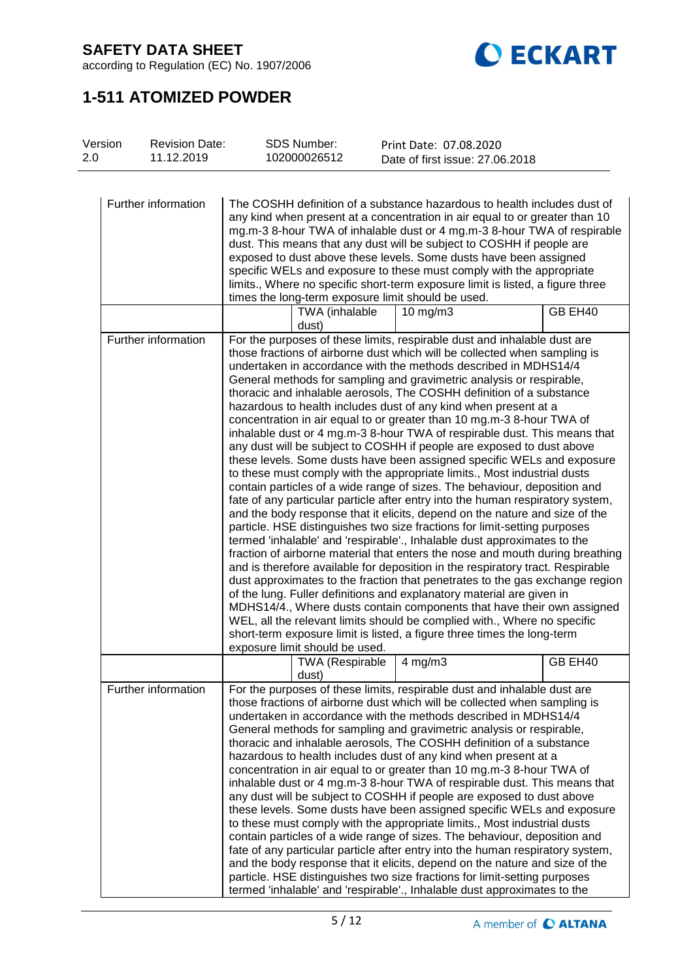

according to Regulation (EC) No. 1907/2006

# **1-511 ATOMIZED POWDER**

| <b>Revision Date:</b><br>Version<br>2.0<br>11.12.2019 | <b>SDS Number:</b><br>102000026512                 | Print Date: 07.08.2020<br>Date of first issue: 27.06.2018                                                                                                                                                                                                                                                                                                                                                                                                                                                                                                                                                                                                                                                                                                                                                                                                                                                                                                                                                                                                                                                                                                                                                                                                                                                                                                                                                                                                                                                                                                                                                                                                                                                                                                                                            |
|-------------------------------------------------------|----------------------------------------------------|------------------------------------------------------------------------------------------------------------------------------------------------------------------------------------------------------------------------------------------------------------------------------------------------------------------------------------------------------------------------------------------------------------------------------------------------------------------------------------------------------------------------------------------------------------------------------------------------------------------------------------------------------------------------------------------------------------------------------------------------------------------------------------------------------------------------------------------------------------------------------------------------------------------------------------------------------------------------------------------------------------------------------------------------------------------------------------------------------------------------------------------------------------------------------------------------------------------------------------------------------------------------------------------------------------------------------------------------------------------------------------------------------------------------------------------------------------------------------------------------------------------------------------------------------------------------------------------------------------------------------------------------------------------------------------------------------------------------------------------------------------------------------------------------------|
| Further information                                   | times the long-term exposure limit should be used. | The COSHH definition of a substance hazardous to health includes dust of<br>any kind when present at a concentration in air equal to or greater than 10<br>mg.m-3 8-hour TWA of inhalable dust or 4 mg.m-3 8-hour TWA of respirable<br>dust. This means that any dust will be subject to COSHH if people are<br>exposed to dust above these levels. Some dusts have been assigned<br>specific WELs and exposure to these must comply with the appropriate<br>limits., Where no specific short-term exposure limit is listed, a figure three                                                                                                                                                                                                                                                                                                                                                                                                                                                                                                                                                                                                                                                                                                                                                                                                                                                                                                                                                                                                                                                                                                                                                                                                                                                          |
|                                                       | TWA (inhalable<br>dust)                            | GB EH40<br>$10$ mg/m $3$                                                                                                                                                                                                                                                                                                                                                                                                                                                                                                                                                                                                                                                                                                                                                                                                                                                                                                                                                                                                                                                                                                                                                                                                                                                                                                                                                                                                                                                                                                                                                                                                                                                                                                                                                                             |
| Further information                                   | exposure limit should be used.                     | For the purposes of these limits, respirable dust and inhalable dust are<br>those fractions of airborne dust which will be collected when sampling is<br>undertaken in accordance with the methods described in MDHS14/4<br>General methods for sampling and gravimetric analysis or respirable,<br>thoracic and inhalable aerosols, The COSHH definition of a substance<br>hazardous to health includes dust of any kind when present at a<br>concentration in air equal to or greater than 10 mg.m-3 8-hour TWA of<br>inhalable dust or 4 mg.m-3 8-hour TWA of respirable dust. This means that<br>any dust will be subject to COSHH if people are exposed to dust above<br>these levels. Some dusts have been assigned specific WELs and exposure<br>to these must comply with the appropriate limits., Most industrial dusts<br>contain particles of a wide range of sizes. The behaviour, deposition and<br>fate of any particular particle after entry into the human respiratory system,<br>and the body response that it elicits, depend on the nature and size of the<br>particle. HSE distinguishes two size fractions for limit-setting purposes<br>termed 'inhalable' and 'respirable'., Inhalable dust approximates to the<br>fraction of airborne material that enters the nose and mouth during breathing<br>and is therefore available for deposition in the respiratory tract. Respirable<br>dust approximates to the fraction that penetrates to the gas exchange region<br>of the lung. Fuller definitions and explanatory material are given in<br>MDHS14/4., Where dusts contain components that have their own assigned<br>WEL, all the relevant limits should be complied with., Where no specific<br>short-term exposure limit is listed, a figure three times the long-term |
|                                                       | TWA (Respirable   4 mg/m3<br>dust)                 | GB EH40                                                                                                                                                                                                                                                                                                                                                                                                                                                                                                                                                                                                                                                                                                                                                                                                                                                                                                                                                                                                                                                                                                                                                                                                                                                                                                                                                                                                                                                                                                                                                                                                                                                                                                                                                                                              |
| Further information                                   |                                                    | For the purposes of these limits, respirable dust and inhalable dust are<br>those fractions of airborne dust which will be collected when sampling is<br>undertaken in accordance with the methods described in MDHS14/4<br>General methods for sampling and gravimetric analysis or respirable,<br>thoracic and inhalable aerosols, The COSHH definition of a substance<br>hazardous to health includes dust of any kind when present at a<br>concentration in air equal to or greater than 10 mg.m-3 8-hour TWA of<br>inhalable dust or 4 mg.m-3 8-hour TWA of respirable dust. This means that<br>any dust will be subject to COSHH if people are exposed to dust above<br>these levels. Some dusts have been assigned specific WELs and exposure<br>to these must comply with the appropriate limits., Most industrial dusts<br>contain particles of a wide range of sizes. The behaviour, deposition and<br>fate of any particular particle after entry into the human respiratory system,<br>and the body response that it elicits, depend on the nature and size of the<br>particle. HSE distinguishes two size fractions for limit-setting purposes<br>termed 'inhalable' and 'respirable'., Inhalable dust approximates to the                                                                                                                                                                                                                                                                                                                                                                                                                                                                                                                                                              |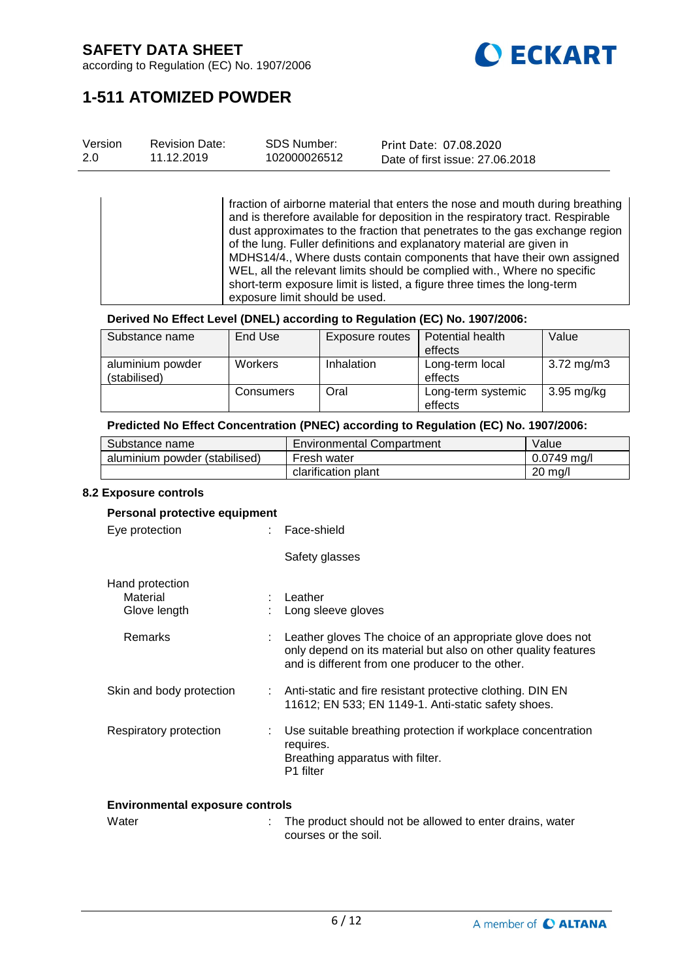

according to Regulation (EC) No. 1907/2006

# **1-511 ATOMIZED POWDER**

| Version | <b>Revision Date:</b> | <b>SDS Number:</b> | Print Date: 07.08.2020          |
|---------|-----------------------|--------------------|---------------------------------|
| 2.0     | 11.12.2019            | 102000026512       | Date of first issue: 27,06,2018 |

fraction of airborne material that enters the nose and mouth during breathing and is therefore available for deposition in the respiratory tract. Respirable dust approximates to the fraction that penetrates to the gas exchange region of the lung. Fuller definitions and explanatory material are given in MDHS14/4., Where dusts contain components that have their own assigned WEL, all the relevant limits should be complied with., Where no specific short-term exposure limit is listed, a figure three times the long-term exposure limit should be used.

### **Derived No Effect Level (DNEL) according to Regulation (EC) No. 1907/2006:**

| Substance name                   | End Use        | Exposure routes   | Potential health<br>effects   | Value      |
|----------------------------------|----------------|-------------------|-------------------------------|------------|
| aluminium powder<br>(stabilised) | <b>Workers</b> | <b>Inhalation</b> | Long-term local<br>effects    | 3.72 mg/m3 |
|                                  | Consumers      | Oral              | Long-term systemic<br>effects | 3.95 mg/kg |

## **Predicted No Effect Concentration (PNEC) according to Regulation (EC) No. 1907/2006:**

| Substance name                | Environmental Compartment | Value       |
|-------------------------------|---------------------------|-------------|
| aluminium powder (stabilised) | Fresh water               | 0.0749 ma/l |
|                               | clarification plant       | $20$ mg/l   |

#### **8.2 Exposure controls**

#### **Personal protective equipment**

| Eye protection                              | : Face-shield                                                                                                                                                                      |
|---------------------------------------------|------------------------------------------------------------------------------------------------------------------------------------------------------------------------------------|
|                                             | Safety glasses                                                                                                                                                                     |
| Hand protection<br>Material<br>Glove length | : Leather<br>Long sleeve gloves                                                                                                                                                    |
| Remarks                                     | : Leather gloves The choice of an appropriate glove does not<br>only depend on its material but also on other quality features<br>and is different from one producer to the other. |
| Skin and body protection                    | : Anti-static and fire resistant protective clothing. DIN EN<br>11612; EN 533; EN 1149-1. Anti-static safety shoes.                                                                |
| Respiratory protection                      | Use suitable breathing protection if workplace concentration<br>requires.<br>Breathing apparatus with filter.<br>P1 filter                                                         |

#### **Environmental exposure controls**

| Water | : The product should not be allowed to enter drains, water |
|-------|------------------------------------------------------------|
|       | courses or the soil.                                       |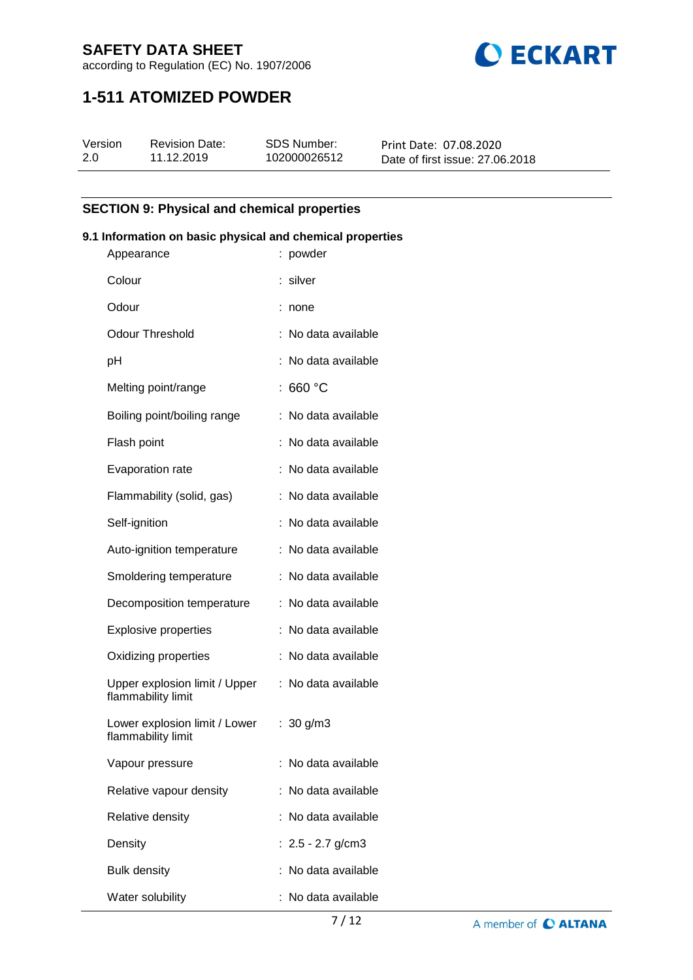

according to Regulation (EC) No. 1907/2006

# **1-511 ATOMIZED POWDER**

| Version | <b>Revision Date:</b> | SDS Number:  | Print Date: 07.08.2020          |
|---------|-----------------------|--------------|---------------------------------|
| 2.0     | 11.12.2019            | 102000026512 | Date of first issue: 27,06,2018 |

## **SECTION 9: Physical and chemical properties**

## **9.1 Information on basic physical and chemical properties**

| Appearance                                          | : powder            |
|-----------------------------------------------------|---------------------|
| Colour                                              | : silver            |
| Odour                                               | none                |
| <b>Odour Threshold</b>                              | No data available   |
| рH                                                  | No data available   |
| Melting point/range                                 | 660 °C              |
| Boiling point/boiling range                         | No data available   |
| Flash point                                         | No data available   |
| Evaporation rate                                    | No data available   |
| Flammability (solid, gas)                           | No data available   |
| Self-ignition                                       | No data available   |
| Auto-ignition temperature                           | No data available   |
| Smoldering temperature                              | No data available   |
| Decomposition temperature                           | No data available   |
| <b>Explosive properties</b>                         | No data available   |
| Oxidizing properties                                | No data available   |
| Upper explosion limit / Upper<br>flammability limit | No data available   |
| Lower explosion limit / Lower<br>flammability limit | : $30 g/m3$         |
| Vapour pressure                                     | : No data available |
| Relative vapour density                             | : No data available |
| Relative density                                    | No data available   |
| Density                                             | : $2.5 - 2.7$ g/cm3 |
| <b>Bulk density</b>                                 | : No data available |
| Water solubility                                    | No data available   |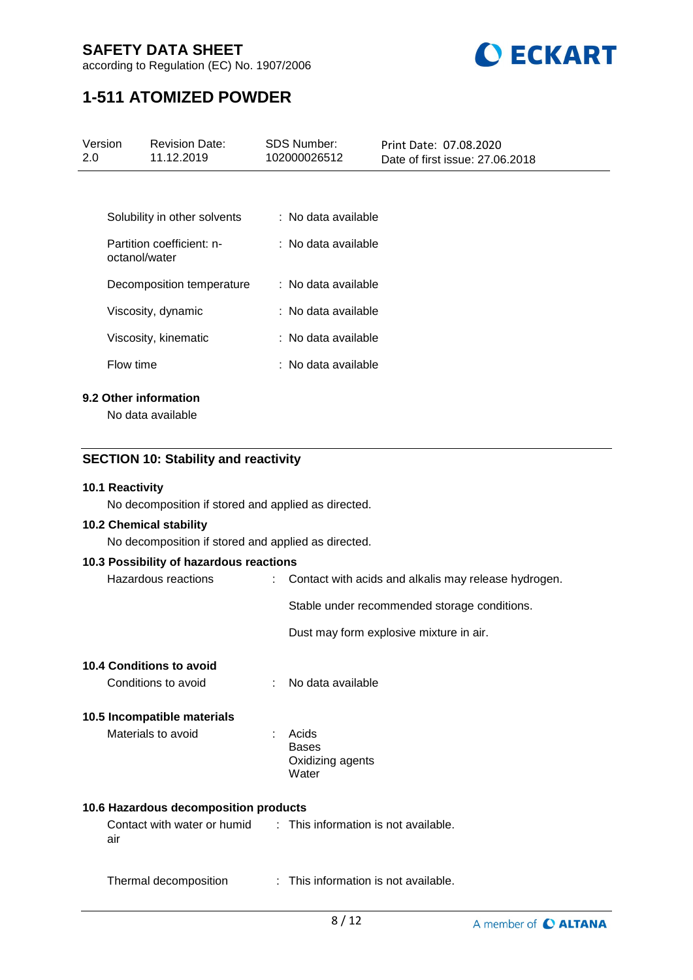

according to Regulation (EC) No. 1907/2006

# **1-511 ATOMIZED POWDER**

| Version<br>2.0 <sub>2</sub> | <b>Revision Date:</b><br>11.12.2019         | <b>SDS Number:</b><br>102000026512 | Print Date: 07.08.2020<br>Date of first issue: 27.06.2018 |
|-----------------------------|---------------------------------------------|------------------------------------|-----------------------------------------------------------|
|                             |                                             |                                    |                                                           |
|                             | Solubility in other solvents                | : No data available                |                                                           |
|                             | Partition coefficient: n-<br>octanol/water  | : No data available                |                                                           |
|                             | Decomposition temperature                   | : No data available                |                                                           |
|                             | Viscosity, dynamic                          | : No data available                |                                                           |
|                             | Viscosity, kinematic                        | : No data available                |                                                           |
| Flow time                   |                                             | : No data available                |                                                           |
|                             | 9.2 Other information<br>No data available  |                                    |                                                           |
|                             |                                             |                                    |                                                           |
|                             | <b>SECTION 10: Stability and reactivity</b> |                                    |                                                           |

## **10.1 Reactivity**

No decomposition if stored and applied as directed.

## **10.2 Chemical stability**

No decomposition if stored and applied as directed.

| 10.3 Possibility of hazardous reactions |                           |                                                                  |
|-----------------------------------------|---------------------------|------------------------------------------------------------------|
| Hazardous reactions                     | $\mathbb{R}^{\mathbb{Z}}$ | Contact with acids and alkalis may release hydrogen.             |
|                                         |                           | Stable under recommended storage conditions.                     |
|                                         |                           | Dust may form explosive mixture in air.                          |
| <b>10.4 Conditions to avoid</b>         |                           |                                                                  |
| Conditions to avoid                     |                           | No data available                                                |
| 10.5 Incompatible materials             |                           |                                                                  |
| Materials to avoid                      |                           | Acids                                                            |
|                                         |                           | <b>Bases</b><br>Oxidizing agents                                 |
|                                         |                           | Water                                                            |
| 10.6 Hazardous decomposition products   |                           |                                                                  |
| air                                     |                           | Contact with water or humid : This information is not available. |
| Thermal decomposition                   |                           | : This information is not available.                             |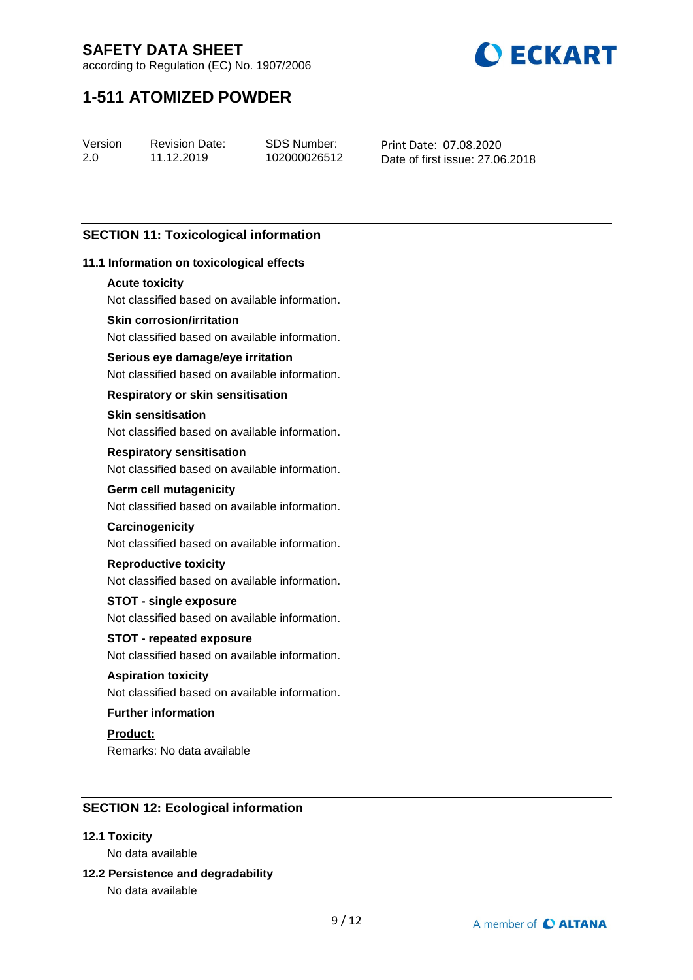

according to Regulation (EC) No. 1907/2006

# **1-511 ATOMIZED POWDER**

Version 2.0

Revision Date: 11.12.2019

SDS Number: 102000026512 Print Date: 07.08.2020 Date of first issue: 27.06.2018

## **SECTION 11: Toxicological information**

## **11.1 Information on toxicological effects**

### **Acute toxicity**

Not classified based on available information.

## **Skin corrosion/irritation**

Not classified based on available information.

## **Serious eye damage/eye irritation**

Not classified based on available information.

### **Respiratory or skin sensitisation**

## **Skin sensitisation**

Not classified based on available information.

### **Respiratory sensitisation**

Not classified based on available information.

## **Germ cell mutagenicity**

Not classified based on available information.

## **Carcinogenicity**

Not classified based on available information.

#### **Reproductive toxicity**

Not classified based on available information.

## **STOT - single exposure**

Not classified based on available information.

## **STOT - repeated exposure**

Not classified based on available information.

## **Aspiration toxicity**

Not classified based on available information.

## **Further information**

# **Product:**

Remarks: No data available

## **SECTION 12: Ecological information**

## **12.1 Toxicity**

No data available

# **12.2 Persistence and degradability**

No data available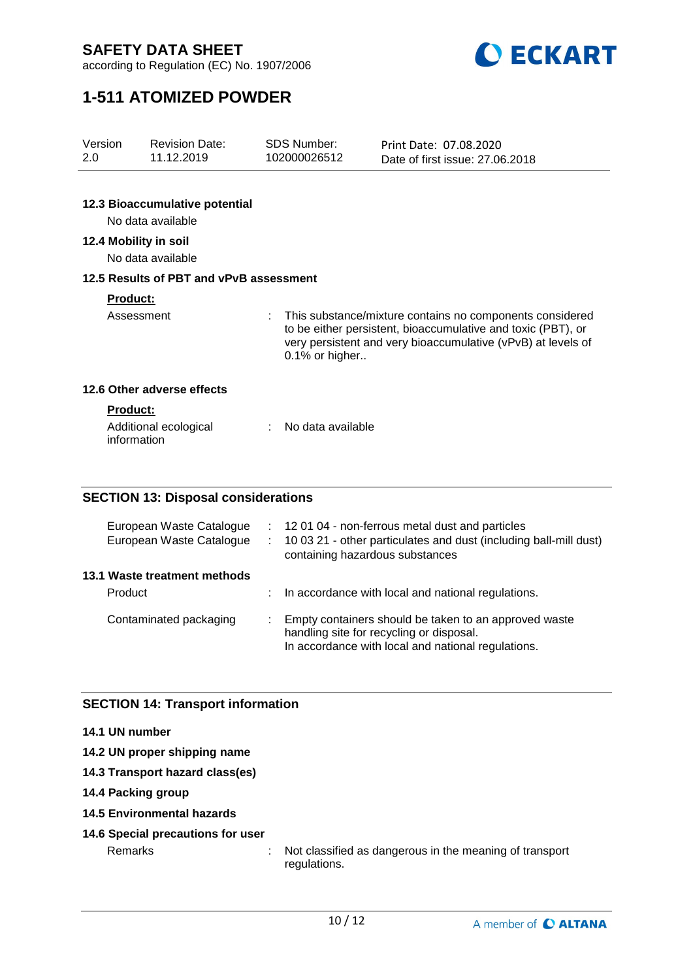

according to Regulation (EC) No. 1907/2006

# **1-511 ATOMIZED POWDER**

| Version<br>2.0 | <b>Revision Date:</b><br>11.12.2019                 | <b>SDS Number:</b><br>102000026512 | Print Date: 07.08.2020<br>Date of first issue: 27.06.2018                                                                                                                                |
|----------------|-----------------------------------------------------|------------------------------------|------------------------------------------------------------------------------------------------------------------------------------------------------------------------------------------|
|                |                                                     |                                    |                                                                                                                                                                                          |
|                | 12.3 Bioaccumulative potential<br>No data available |                                    |                                                                                                                                                                                          |
|                | 12.4 Mobility in soil<br>No data available          |                                    |                                                                                                                                                                                          |
|                | 12.5 Results of PBT and vPvB assessment             |                                    |                                                                                                                                                                                          |
|                | <b>Product:</b>                                     |                                    |                                                                                                                                                                                          |
|                | Assessment                                          | ÷<br>0.1% or higher                | This substance/mixture contains no components considered<br>to be either persistent, bioaccumulative and toxic (PBT), or<br>very persistent and very bioaccumulative (vPvB) at levels of |
|                | 12.6 Other adverse effects                          |                                    |                                                                                                                                                                                          |
|                | Product:                                            |                                    |                                                                                                                                                                                          |
|                | Additional ecological<br>information                | No data available                  |                                                                                                                                                                                          |
|                |                                                     |                                    |                                                                                                                                                                                          |

## **SECTION 13: Disposal considerations**

|                                         | European Waste Catalogue<br>European Waste Catalogue | ÷. | : 12 01 04 - non-ferrous metal dust and particles<br>10 03 21 - other particulates and dust (including ball-mill dust)<br>containing hazardous substances |
|-----------------------------------------|------------------------------------------------------|----|-----------------------------------------------------------------------------------------------------------------------------------------------------------|
| 13.1 Waste treatment methods<br>Product |                                                      | ÷  | In accordance with local and national regulations.                                                                                                        |
| Contaminated packaging                  |                                                      |    | Empty containers should be taken to an approved waste<br>handling site for recycling or disposal.<br>In accordance with local and national regulations.   |

## **SECTION 14: Transport information**

## **14.1 UN number**

- **14.2 UN proper shipping name**
- **14.3 Transport hazard class(es)**
- **14.4 Packing group**
- **14.5 Environmental hazards**
- **14.6 Special precautions for user**

Remarks : Not classified as dangerous in the meaning of transport regulations.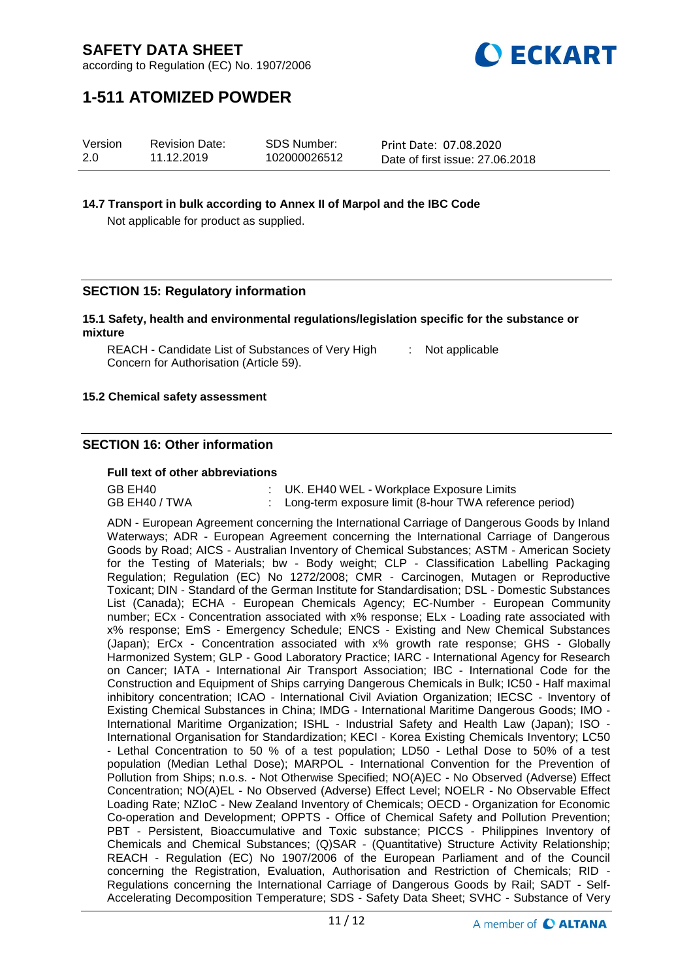

according to Regulation (EC) No. 1907/2006

# **1-511 ATOMIZED POWDER**

| Version | <b>Revision Date:</b> | <b>SDS Number:</b> | Print Date: 07.08.2020          |
|---------|-----------------------|--------------------|---------------------------------|
| 2.0     | 11.12.2019            | 102000026512       | Date of first issue: 27.06.2018 |

### **14.7 Transport in bulk according to Annex II of Marpol and the IBC Code**

Not applicable for product as supplied.

## **SECTION 15: Regulatory information**

### **15.1 Safety, health and environmental regulations/legislation specific for the substance or mixture**

REACH - Candidate List of Substances of Very High Concern for Authorisation (Article 59). : Not applicable

### **15.2 Chemical safety assessment**

## **SECTION 16: Other information**

#### **Full text of other abbreviations**

| GB EH40       | : UK. EH40 WEL - Workplace Exposure Limits               |
|---------------|----------------------------------------------------------|
| GB EH40 / TWA | : Long-term exposure limit (8-hour TWA reference period) |

ADN - European Agreement concerning the International Carriage of Dangerous Goods by Inland Waterways; ADR - European Agreement concerning the International Carriage of Dangerous Goods by Road; AICS - Australian Inventory of Chemical Substances; ASTM - American Society for the Testing of Materials; bw - Body weight; CLP - Classification Labelling Packaging Regulation; Regulation (EC) No 1272/2008; CMR - Carcinogen, Mutagen or Reproductive Toxicant; DIN - Standard of the German Institute for Standardisation; DSL - Domestic Substances List (Canada); ECHA - European Chemicals Agency; EC-Number - European Community number; ECx - Concentration associated with x% response; ELx - Loading rate associated with x% response; EmS - Emergency Schedule; ENCS - Existing and New Chemical Substances (Japan); ErCx - Concentration associated with x% growth rate response; GHS - Globally Harmonized System; GLP - Good Laboratory Practice; IARC - International Agency for Research on Cancer; IATA - International Air Transport Association; IBC - International Code for the Construction and Equipment of Ships carrying Dangerous Chemicals in Bulk; IC50 - Half maximal inhibitory concentration; ICAO - International Civil Aviation Organization; IECSC - Inventory of Existing Chemical Substances in China; IMDG - International Maritime Dangerous Goods; IMO - International Maritime Organization; ISHL - Industrial Safety and Health Law (Japan); ISO - International Organisation for Standardization; KECI - Korea Existing Chemicals Inventory; LC50 - Lethal Concentration to 50 % of a test population; LD50 - Lethal Dose to 50% of a test population (Median Lethal Dose); MARPOL - International Convention for the Prevention of Pollution from Ships; n.o.s. - Not Otherwise Specified; NO(A)EC - No Observed (Adverse) Effect Concentration; NO(A)EL - No Observed (Adverse) Effect Level; NOELR - No Observable Effect Loading Rate; NZIoC - New Zealand Inventory of Chemicals; OECD - Organization for Economic Co-operation and Development; OPPTS - Office of Chemical Safety and Pollution Prevention; PBT - Persistent, Bioaccumulative and Toxic substance; PICCS - Philippines Inventory of Chemicals and Chemical Substances; (Q)SAR - (Quantitative) Structure Activity Relationship; REACH - Regulation (EC) No 1907/2006 of the European Parliament and of the Council concerning the Registration, Evaluation, Authorisation and Restriction of Chemicals; RID - Regulations concerning the International Carriage of Dangerous Goods by Rail; SADT - Self-Accelerating Decomposition Temperature; SDS - Safety Data Sheet; SVHC - Substance of Very